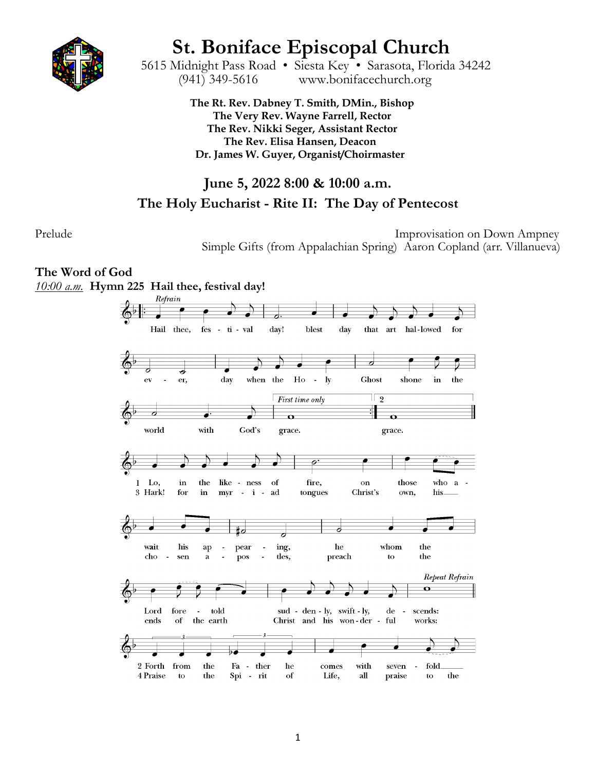

# **St. Boniface Episcopal Church** 5615 Midnight Pass Road • Siesta Key • Sarasota, Florida 34242

(941) 349-5616 www.bonifacechurch.org

**The Rt. Rev. Dabney T. Smith, DMin., Bishop The Very Rev. Wayne Farrell, Rector The Rev. Nikki Seger, Assistant Rector The Rev. Elisa Hansen, Deacon Dr. James W. Guyer, Organist/Choirmaster**

# **June 5, 2022 8:00 & 10:00 a.m.**

# **The Holy Eucharist - Rite II: The Day of Pentecost**

Prelude Improvisation on Down Ampney Simple Gifts (from Appalachian Spring) Aaron Copland (arr. Villanueva)

# **The Word of God**

*10:00 a.m.* **Hymn 225 Hail thee, festival day!**

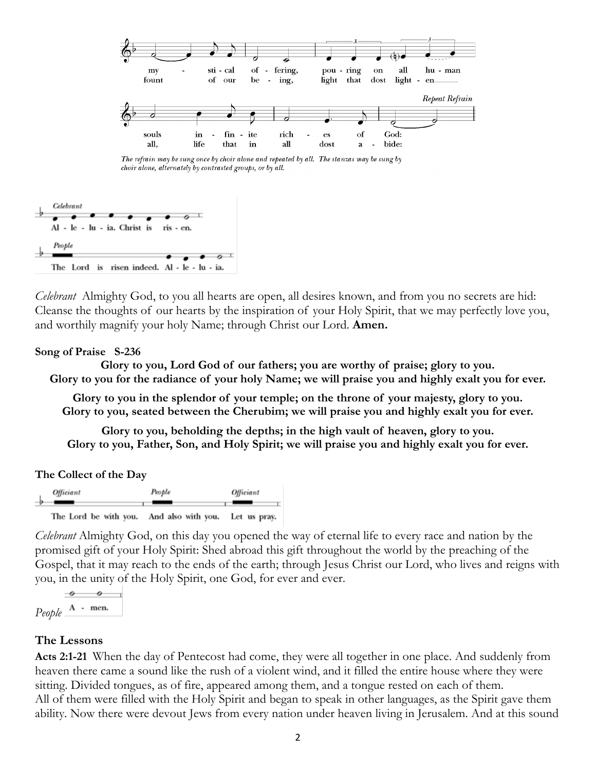

The refrain may be sung once by choir alone and repeated by all. The stanzas may be sung by choir alone, alternately by contrasted groups, or by all.



*Celebrant* Almighty God, to you all hearts are open, all desires known, and from you no secrets are hid: Cleanse the thoughts of our hearts by the inspiration of your Holy Spirit, that we may perfectly love you, and worthily magnify your holy Name; through Christ our Lord. **Amen.**

#### **Song of Praise S-236**

**Glory to you, Lord God of our fathers; you are worthy of praise; glory to you. Glory to you for the radiance of your holy Name; we will praise you and highly exalt you for ever.**

**Glory to you in the splendor of your temple; on the throne of your majesty, glory to you. Glory to you, seated between the Cherubim; we will praise you and highly exalt you for ever.**

**Glory to you, beholding the depths; in the high vault of heaven, glory to you. Glory to you, Father, Son, and Holy Spirit; we will praise you and highly exalt you for ever.**

| The Collect of the Day |  |  |  |
|------------------------|--|--|--|
|------------------------|--|--|--|

| Officiant             | People             | Officiant    |
|-----------------------|--------------------|--------------|
| The Lord be with you. | And also with you. | Let us pray. |

*Celebrant* Almighty God, on this day you opened the way of eternal life to every race and nation by the promised gift of your Holy Spirit: Shed abroad this gift throughout the world by the preaching of the Gospel, that it may reach to the ends of the earth; through Jesus Christ our Lord, who lives and reigns with you, in the unity of the Holy Spirit, one God, for ever and ever.



#### **The Lessons**

**Acts 2:1-21** When the day of Pentecost had come, they were all together in one place. And suddenly from heaven there came a sound like the rush of a violent wind, and it filled the entire house where they were sitting. Divided tongues, as of fire, appeared among them, and a tongue rested on each of them. All of them were filled with the Holy Spirit and began to speak in other languages, as the Spirit gave them ability. Now there were devout Jews from every nation under heaven living in Jerusalem. And at this sound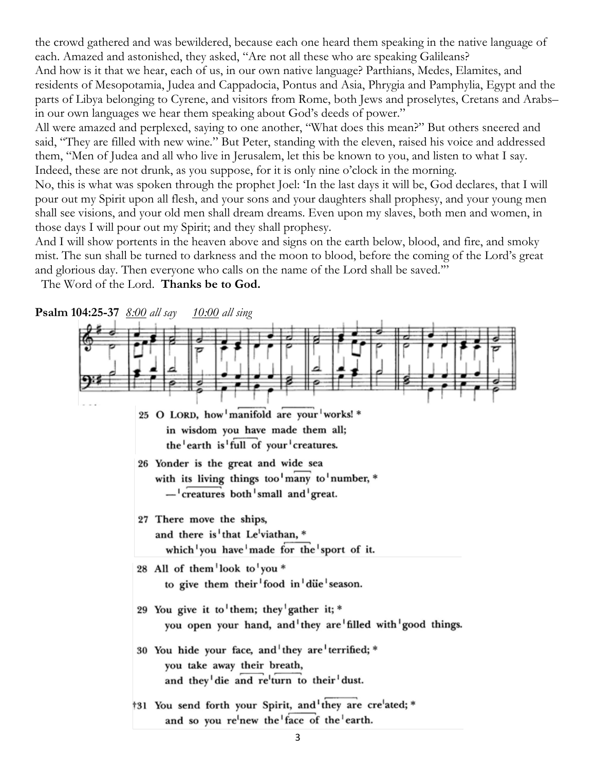the crowd gathered and was bewildered, because each one heard them speaking in the native language of each. Amazed and astonished, they asked, "Are not all these who are speaking Galileans? And how is it that we hear, each of us, in our own native language? Parthians, Medes, Elamites, and residents of Mesopotamia, Judea and Cappadocia, Pontus and Asia, Phrygia and Pamphylia, Egypt and the parts of Libya belonging to Cyrene, and visitors from Rome, both Jews and proselytes, Cretans and Arabs– in our own languages we hear them speaking about God's deeds of power."

All were amazed and perplexed, saying to one another, "What does this mean?" But others sneered and said, "They are filled with new wine." But Peter, standing with the eleven, raised his voice and addressed them, "Men of Judea and all who live in Jerusalem, let this be known to you, and listen to what I say. Indeed, these are not drunk, as you suppose, for it is only nine o'clock in the morning.

No, this is what was spoken through the prophet Joel: 'In the last days it will be, God declares, that I will pour out my Spirit upon all flesh, and your sons and your daughters shall prophesy, and your young men shall see visions, and your old men shall dream dreams. Even upon my slaves, both men and women, in those days I will pour out my Spirit; and they shall prophesy.

And I will show portents in the heaven above and signs on the earth below, blood, and fire, and smoky mist. The sun shall be turned to darkness and the moon to blood, before the coming of the Lord's great and glorious day. Then everyone who calls on the name of the Lord shall be saved.'"

The Word of the Lord. **Thanks be to God.**

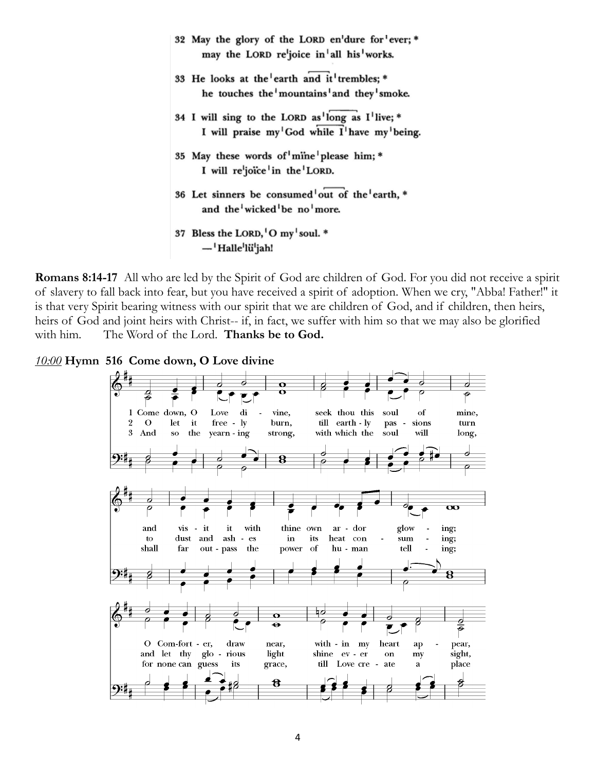32 May the glory of the LORD en'dure for ever;\* may the LORD re<sup>l</sup>ioice in all his works. 33 He looks at the earth and it trembles; \* he touches the mountains and they smoke. 34 I will sing to the LORD as long as I'live; \* I will praise my God while I have my being. 35 May these words of mine please him; \* I will re<sup>l</sup>joice in the LORD. 36 Let sinners be consumed out of the earth, \* and the wicked be no more. 37 Bless the LORD, O my soul. \* - Halle'lü'jah!

**Romans 8:14-17** All who are led by the Spirit of God are children of God. For you did not receive a spirit of slavery to fall back into fear, but you have received a spirit of adoption. When we cry, "Abba! Father!" it is that very Spirit bearing witness with our spirit that we are children of God, and if children, then heirs, heirs of God and joint heirs with Christ-- if, in fact, we suffer with him so that we may also be glorified with him. The Word of the Lord. **Thanks be to God.**

*10:00* **Hymn 516 Come down, O Love divine**

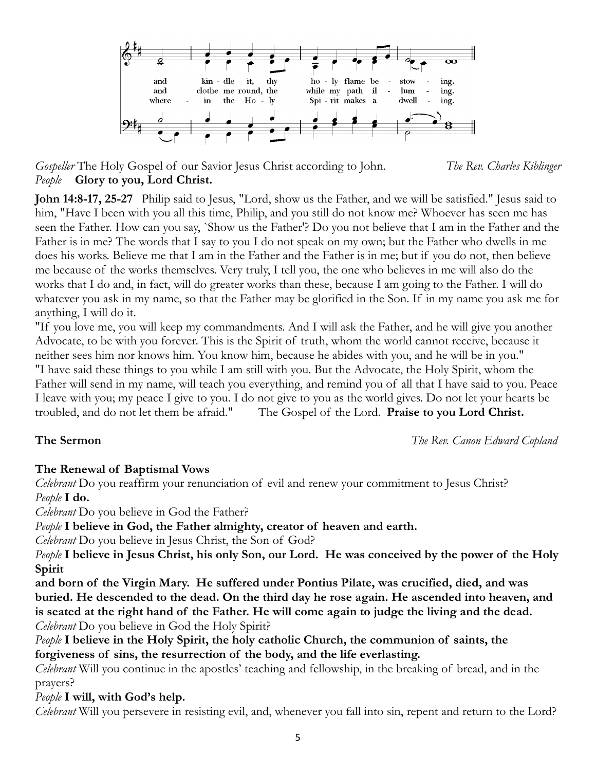

*Gospeller* The Holy Gospel of our Savior Jesus Christ according to John. *The Rev. Charles Kiblinger People* **Glory to you, Lord Christ.**

**John 14:8-17, 25-27** Philip said to Jesus, "Lord, show us the Father, and we will be satisfied." Jesus said to him, "Have I been with you all this time, Philip, and you still do not know me? Whoever has seen me has seen the Father. How can you say, `Show us the Father'? Do you not believe that I am in the Father and the Father is in me? The words that I say to you I do not speak on my own; but the Father who dwells in me does his works. Believe me that I am in the Father and the Father is in me; but if you do not, then believe me because of the works themselves. Very truly, I tell you, the one who believes in me will also do the works that I do and, in fact, will do greater works than these, because I am going to the Father. I will do whatever you ask in my name, so that the Father may be glorified in the Son. If in my name you ask me for anything, I will do it.

"If you love me, you will keep my commandments. And I will ask the Father, and he will give you another Advocate, to be with you forever. This is the Spirit of truth, whom the world cannot receive, because it neither sees him nor knows him. You know him, because he abides with you, and he will be in you." "I have said these things to you while I am still with you. But the Advocate, the Holy Spirit, whom the Father will send in my name, will teach you everything, and remind you of all that I have said to you. Peace I leave with you; my peace I give to you. I do not give to you as the world gives. Do not let your hearts be troubled, and do not let them be afraid." The Gospel of the Lord. **Praise to you Lord Christ.**

**The Sermon** *The Rev. Canon Edward Copland*

### **The Renewal of Baptismal Vows**

*Celebrant* Do you reaffirm your renunciation of evil and renew your commitment to Jesus Christ? *People* **I do.**

*Celebrant* Do you believe in God the Father?

*People* **I believe in God, the Father almighty, creator of heaven and earth.**

*Celebrant* Do you believe in Jesus Christ, the Son of God?

*People* **I believe in Jesus Christ, his only Son, our Lord. He was conceived by the power of the Holy Spirit**

**and born of the Virgin Mary. He suffered under Pontius Pilate, was crucified, died, and was buried. He descended to the dead. On the third day he rose again. He ascended into heaven, and is seated at the right hand of the Father. He will come again to judge the living and the dead.** *Celebrant* Do you believe in God the Holy Spirit?

*People* **I believe in the Holy Spirit, the holy catholic Church, the communion of saints, the forgiveness of sins, the resurrection of the body, and the life everlasting.**

*Celebrant* Will you continue in the apostles' teaching and fellowship, in the breaking of bread, and in the prayers?

*People* **I will, with God's help.**

*Celebrant* Will you persevere in resisting evil, and, whenever you fall into sin, repent and return to the Lord?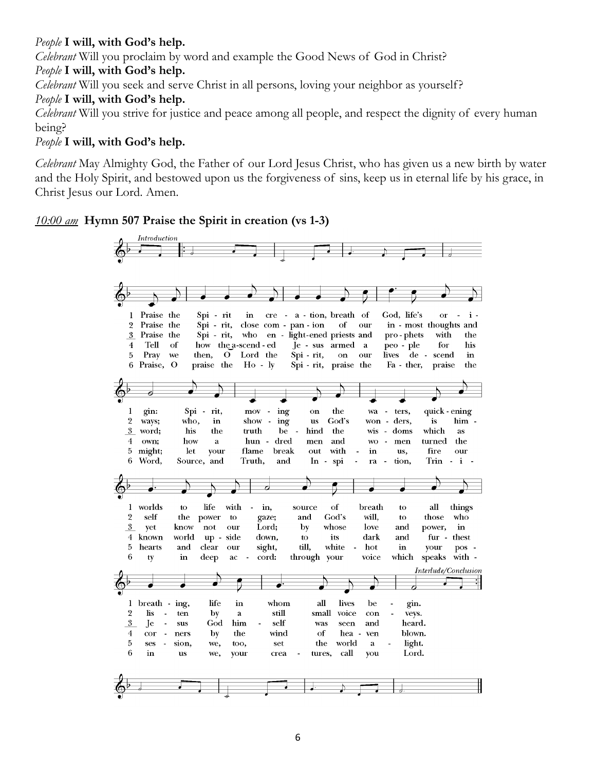### *People* **I will, with God's help.**

*Celebrant* Will you proclaim by word and example the Good News of God in Christ?

#### *People* **I will, with God's help.**

*Celebrant* Will you seek and serve Christ in all persons, loving your neighbor as yourself?

### *People* **I will, with God's help.**

*Celebrant* Will you strive for justice and peace among all people, and respect the dignity of every human being?

### *People* **I will, with God's help.**

*Celebrant* May Almighty God, the Father of our Lord Jesus Christ, who has given us a new birth by water and the Holy Spirit, and bestowed upon us the forgiveness of sins, keep us in eternal life by his grace, in Christ Jesus our Lord. Amen.

### *10:00 am* **Hymn 507 Praise the Spirit in creation (vs 1-3)**

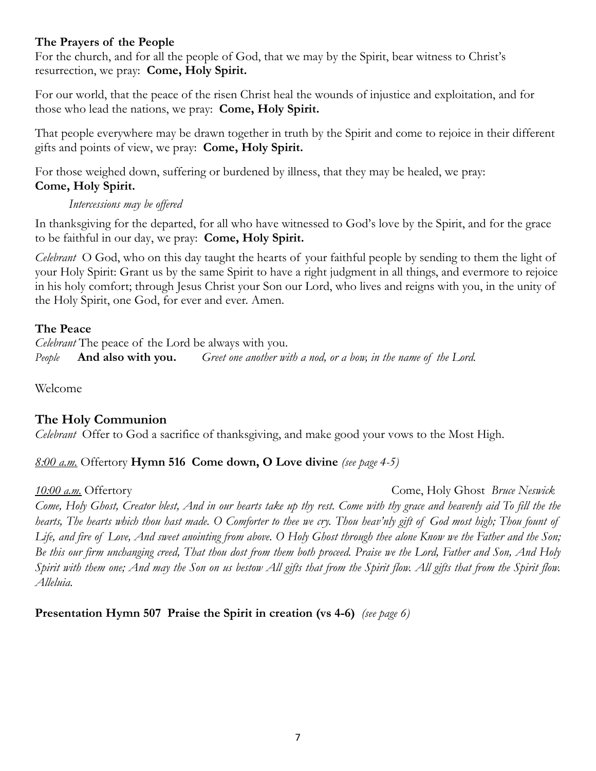#### **The Prayers of the People**

For the church, and for all the people of God, that we may by the Spirit, bear witness to Christ's resurrection, we pray: **Come, Holy Spirit.**

For our world, that the peace of the risen Christ heal the wounds of injustice and exploitation, and for those who lead the nations, we pray: **Come, Holy Spirit.**

That people everywhere may be drawn together in truth by the Spirit and come to rejoice in their different gifts and points of view, we pray: **Come, Holy Spirit.**

For those weighed down, suffering or burdened by illness, that they may be healed, we pray: **Come, Holy Spirit.**

#### *Intercessions may be offered*

In thanksgiving for the departed, for all who have witnessed to God's love by the Spirit, and for the grace to be faithful in our day, we pray: **Come, Holy Spirit.**

*Celebrant* O God, who on this day taught the hearts of your faithful people by sending to them the light of your Holy Spirit: Grant us by the same Spirit to have a right judgment in all things, and evermore to rejoice in his holy comfort; through Jesus Christ your Son our Lord, who lives and reigns with you, in the unity of the Holy Spirit, one God, for ever and ever. Amen.

### **The Peace**

*Celebrant* The peace of the Lord be always with you. *People* **And also with you.** *Greet one another with a nod, or a bow, in the name of the Lord.*

Welcome

# **The Holy Communion**

*Celebrant* Offer to God a sacrifice of thanksgiving, and make good your vows to the Most High.

### *8:00 a.m.* Offertory **Hymn 516 Come down, O Love divine** *(see page 4-5)*

*10:00 a.m.* Offertory Come, Holy Ghost *Bruce Neswick* 

*Come, Holy Ghost, Creator blest, And in our hearts take up thy rest. Come with thy grace and heavenly aid To fill the the hearts, The hearts which thou hast made. O Comforter to thee we cry. Thou heav'nly gift of God most high; Thou fount of Life, and fire of Love, And sweet anointing from above. O Holy Ghost through thee alone Know we the Father and the Son; Be this our firm unchanging creed, That thou dost from them both proceed. Praise we the Lord, Father and Son, And Holy Spirit with them one; And may the Son on us bestow All gifts that from the Spirit flow. All gifts that from the Spirit flow. Alleluia.*

**Presentation Hymn 507 Praise the Spirit in creation (vs 4-6)** *(see page 6)*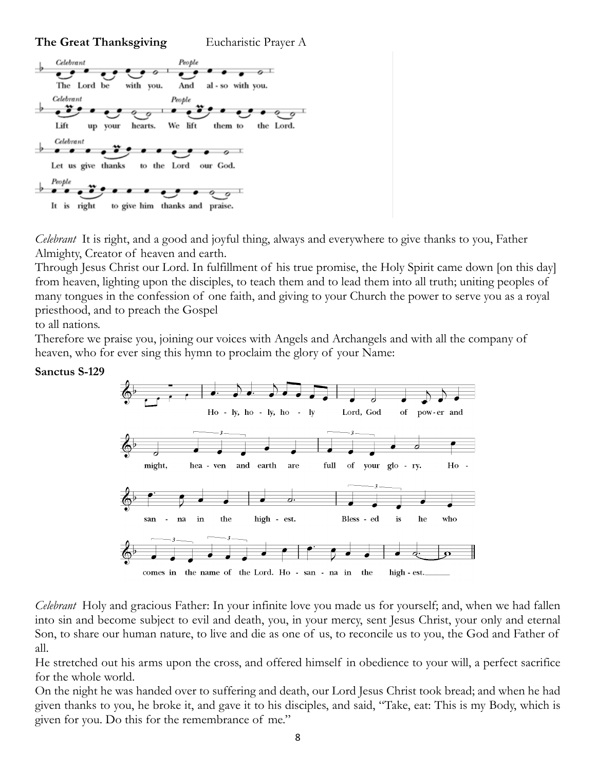#### **The Great Thanksgiving** Eucharistic Prayer A



*Celebrant* It is right, and a good and joyful thing, always and everywhere to give thanks to you, Father Almighty, Creator of heaven and earth.

Through Jesus Christ our Lord. In fulfillment of his true promise, the Holy Spirit came down [on this day] from heaven, lighting upon the disciples, to teach them and to lead them into all truth; uniting peoples of many tongues in the confession of one faith, and giving to your Church the power to serve you as a royal priesthood, and to preach the Gospel

to all nations.

Therefore we praise you, joining our voices with Angels and Archangels and with all the company of heaven, who for ever sing this hymn to proclaim the glory of your Name:

#### **Sanctus S-129**



*Celebrant* Holy and gracious Father: In your infinite love you made us for yourself; and, when we had fallen into sin and become subject to evil and death, you, in your mercy, sent Jesus Christ, your only and eternal Son, to share our human nature, to live and die as one of us, to reconcile us to you, the God and Father of all.

He stretched out his arms upon the cross, and offered himself in obedience to your will, a perfect sacrifice for the whole world.

On the night he was handed over to suffering and death, our Lord Jesus Christ took bread; and when he had given thanks to you, he broke it, and gave it to his disciples, and said, "Take, eat: This is my Body, which is given for you. Do this for the remembrance of me."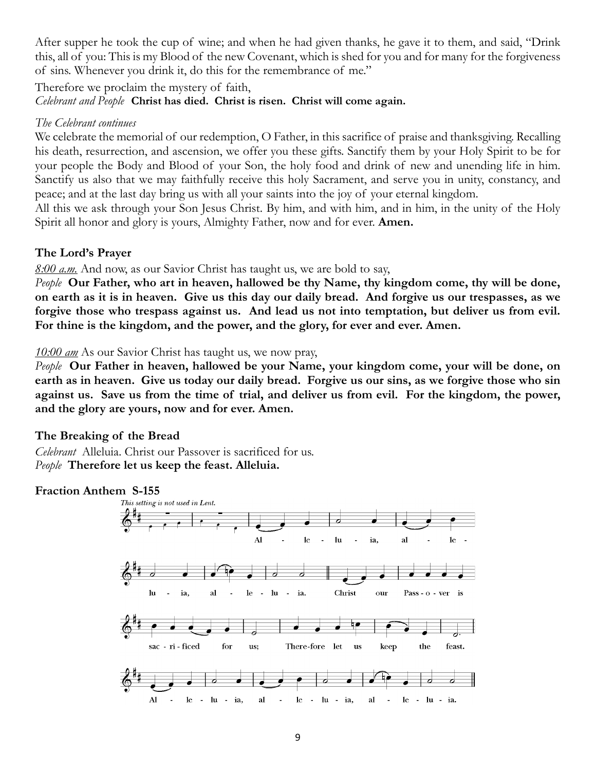After supper he took the cup of wine; and when he had given thanks, he gave it to them, and said, "Drink this, all of you: This is my Blood of the new Covenant, which is shed for you and for many for the forgiveness of sins. Whenever you drink it, do this for the remembrance of me."

#### Therefore we proclaim the mystery of faith, *Celebrant and People* **Christ has died. Christ is risen. Christ will come again.**

#### *The Celebrant continues*

We celebrate the memorial of our redemption, O Father, in this sacrifice of praise and thanksgiving. Recalling his death, resurrection, and ascension, we offer you these gifts. Sanctify them by your Holy Spirit to be for your people the Body and Blood of your Son, the holy food and drink of new and unending life in him. Sanctify us also that we may faithfully receive this holy Sacrament, and serve you in unity, constancy, and peace; and at the last day bring us with all your saints into the joy of your eternal kingdom.

All this we ask through your Son Jesus Christ. By him, and with him, and in him, in the unity of the Holy Spirit all honor and glory is yours, Almighty Father, now and for ever. **Amen.**

### **The Lord's Prayer**

*8:00 a.m.* And now, as our Savior Christ has taught us, we are bold to say,

*People* **Our Father, who art in heaven, hallowed be thy Name, thy kingdom come, thy will be done, on earth as it is in heaven. Give us this day our daily bread. And forgive us our trespasses, as we forgive those who trespass against us. And lead us not into temptation, but deliver us from evil. For thine is the kingdom, and the power, and the glory, for ever and ever. Amen.**

*10:00 am* As our Savior Christ has taught us, we now pray,

*People* **Our Father in heaven, hallowed be your Name, your kingdom come, your will be done, on earth as in heaven. Give us today our daily bread. Forgive us our sins, as we forgive those who sin against us. Save us from the time of trial, and deliver us from evil. For the kingdom, the power, and the glory are yours, now and for ever. Amen.**

### **The Breaking of the Bread**

*Celebrant* Alleluia. Christ our Passover is sacrificed for us. *People* **Therefore let us keep the feast. Alleluia.**

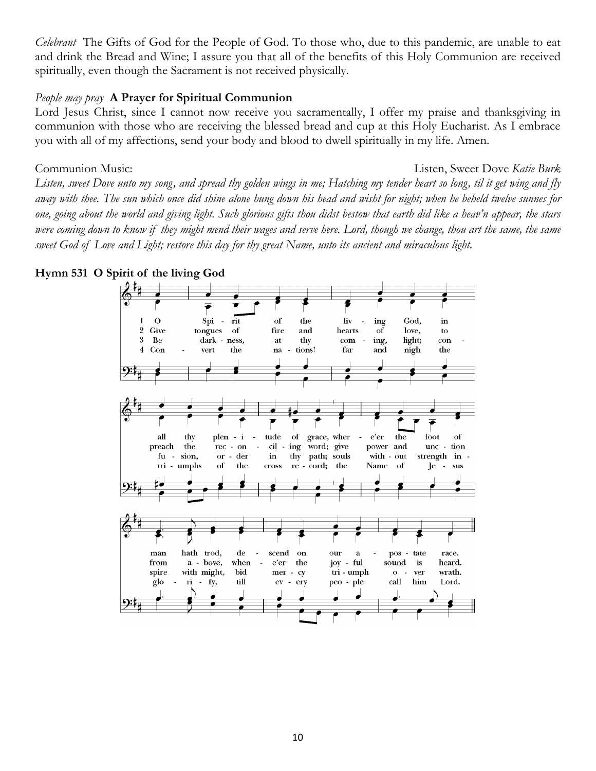*Celebrant* The Gifts of God for the People of God. To those who, due to this pandemic, are unable to eat and drink the Bread and Wine; I assure you that all of the benefits of this Holy Communion are received spiritually, even though the Sacrament is not received physically.

#### *People may pray* **A Prayer for Spiritual Communion**

Lord Jesus Christ, since I cannot now receive you sacramentally, I offer my praise and thanksgiving in communion with those who are receiving the blessed bread and cup at this Holy Eucharist. As I embrace you with all of my affections, send your body and blood to dwell spiritually in my life. Amen.

Communion Music: Listen, Sweet Dove *Katie Burk*

*Listen, sweet Dove unto my song, and spread thy golden wings in me; Hatching my tender heart so long, til it get wing and fly away with thee. The sun which once did shine alone hung down his head and wisht for night; when he beheld twelve sunnes for one, going about the world and giving light. Such glorious gifts thou didst bestow that earth did like a heav'n appear, the stars were coming down to know if they might mend their wages and serve here. Lord, though we change, thou art the same, the same sweet God of Love and Light; restore this day for thy great Name, unto its ancient and miraculous light.*



#### **Hymn 531 O Spirit of the living God**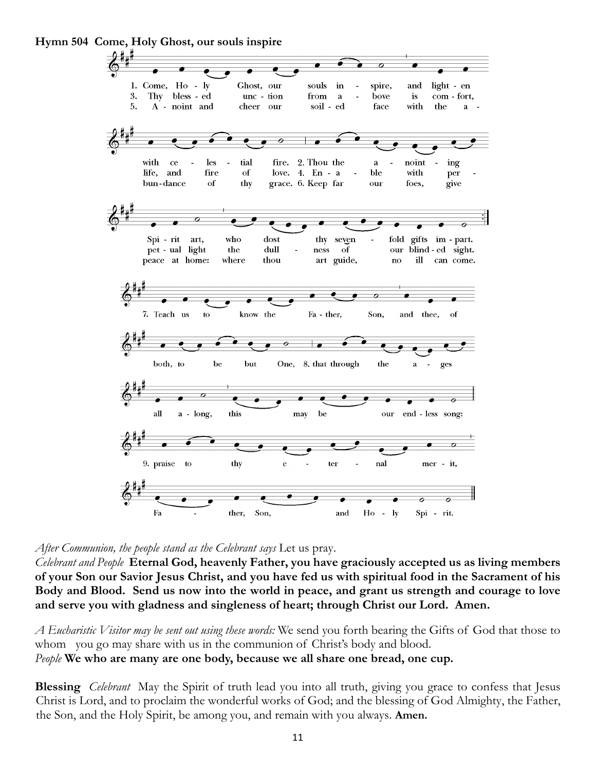

**Hymn 504 Come, Holy Ghost, our souls inspire**

*After Communion, the people stand as the Celebrant says* Let us pray.

*Celebrant and People* **Eternal God, heavenly Father, you have graciously accepted us as living members of your Son our Savior Jesus Christ, and you have fed us with spiritual food in the Sacrament of his Body and Blood. Send us now into the world in peace, and grant us strength and courage to love and serve you with gladness and singleness of heart; through Christ our Lord. Amen.**

*A Eucharistic Visitor may be sent out using these words:* We send you forth bearing the Gifts of God that those to whom you go may share with us in the communion of Christ's body and blood. *People* **We who are many are one body, because we all share one bread, one cup.**

**Blessing** *Celebrant* May the Spirit of truth lead you into all truth, giving you grace to confess that Jesus Christ is Lord, and to proclaim the wonderful works of God; and the blessing of God Almighty, the Father, the Son, and the Holy Spirit, be among you, and remain with you always. **Amen.**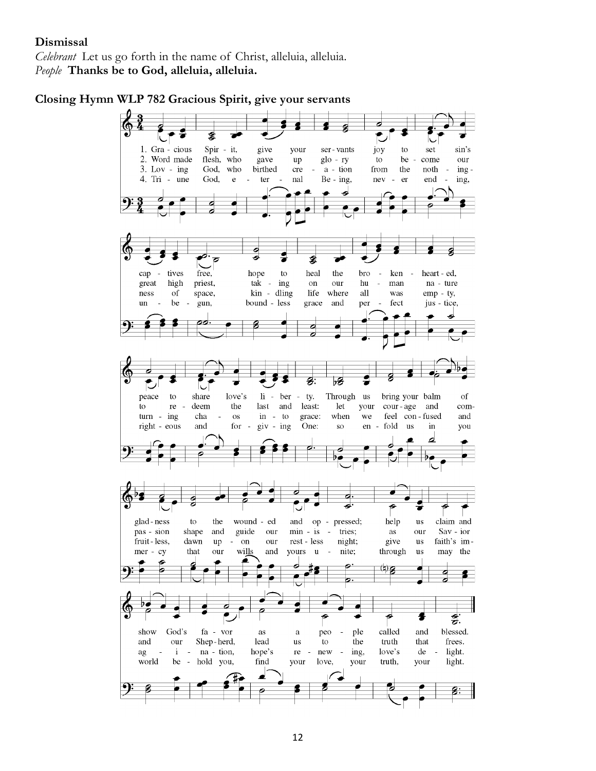#### **Dismissal**

*Celebrant* Let us go forth in the name of Christ, alleluia, alleluia. *People* **Thanks be to God, alleluia, alleluia.**

**Closing Hymn WLP 782 Gracious Spirit, give your servants**

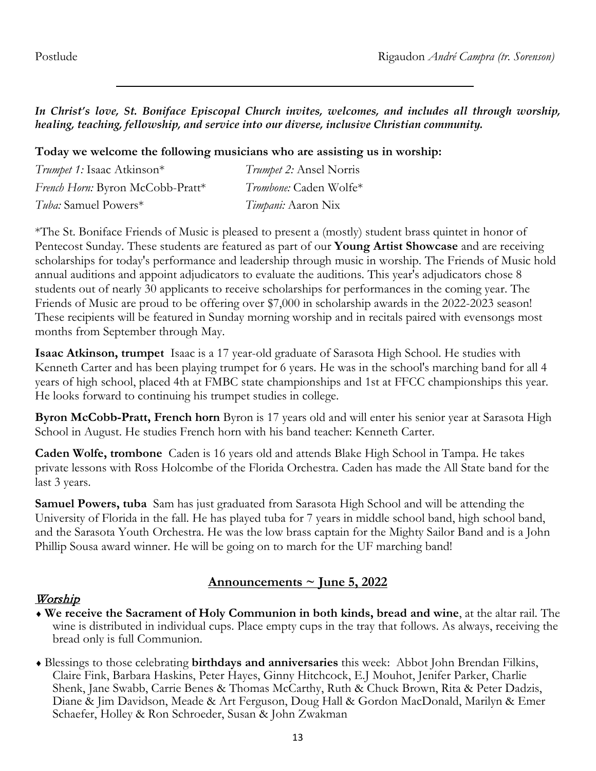*In Christ's love, St. Boniface Episcopal Church invites, welcomes, and includes all through worship, healing, teaching, fellowship, and service into our diverse, inclusive Christian community.*

**Today we welcome the following musicians who are assisting us in worship:**

| Trumpet 1: Isaac Atkinson*       | <i>Trumpet 2:</i> Ansel Norris |
|----------------------------------|--------------------------------|
| French Horn: Byron McCobb-Pratt* | Trombone: Caden Wolfe*         |
| <i>Tuba:</i> Samuel Powers*      | <i>Timpani:</i> Aaron Nix      |

\*The St. Boniface Friends of Music is pleased to present a (mostly) student brass quintet in honor of Pentecost Sunday. These students are featured as part of our **Young Artist Showcase** and are receiving scholarships for today's performance and leadership through music in worship. The Friends of Music hold annual auditions and appoint adjudicators to evaluate the auditions. This year's adjudicators chose 8 students out of nearly 30 applicants to receive scholarships for performances in the coming year. The Friends of Music are proud to be offering over \$7,000 in scholarship awards in the 2022-2023 season! These recipients will be featured in Sunday morning worship and in recitals paired with evensongs most months from September through May.

**Isaac Atkinson, trumpet** Isaac is a 17 year-old graduate of Sarasota High School. He studies with Kenneth Carter and has been playing trumpet for 6 years. He was in the school's marching band for all 4 years of high school, placed 4th at FMBC state championships and 1st at FFCC championships this year. He looks forward to continuing his trumpet studies in college.

**Byron McCobb-Pratt, French horn** Byron is 17 years old and will enter his senior year at Sarasota High School in August. He studies French horn with his band teacher: Kenneth Carter.

**Caden Wolfe, trombone** Caden is 16 years old and attends Blake High School in Tampa. He takes private lessons with Ross Holcombe of the Florida Orchestra. Caden has made the All State band for the last 3 years.

**Samuel Powers, tuba** Sam has just graduated from Sarasota High School and will be attending the University of Florida in the fall. He has played tuba for 7 years in middle school band, high school band, and the Sarasota Youth Orchestra. He was the low brass captain for the Mighty Sailor Band and is a John Phillip Sousa award winner. He will be going on to march for the UF marching band!

# **Announcements ~ June 5, 2022**

# Worship

- ♦ **We receive the Sacrament of Holy Communion in both kinds, bread and wine**, at the altar rail. The wine is distributed in individual cups. Place empty cups in the tray that follows. As always, receiving the bread only is full Communion.
- ♦ Blessings to those celebrating **birthdays and anniversaries** this week: Abbot John Brendan Filkins, Claire Fink, Barbara Haskins, Peter Hayes, Ginny Hitchcock, E.J Mouhot, Jenifer Parker, Charlie Shenk, Jane Swabb, Carrie Benes & Thomas McCarthy, Ruth & Chuck Brown, Rita & Peter Dadzis, Diane & Jim Davidson, Meade & Art Ferguson, Doug Hall & Gordon MacDonald, Marilyn & Emer Schaefer, Holley & Ron Schroeder, Susan & John Zwakman